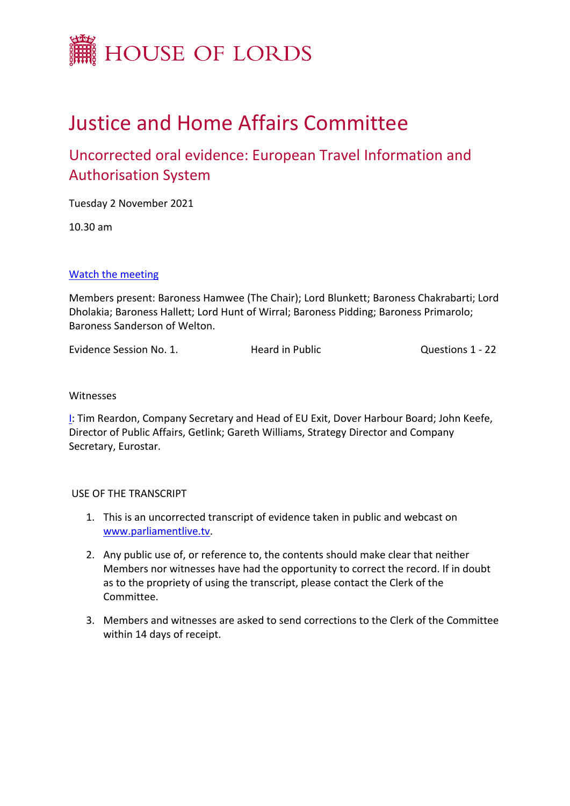

# Justice and Home Affairs Committee

## Uncorrected oral evidence: European Travel Information and Authorisation System

Tuesday 2 November 2021

10.30 am

### [Watch](https://www.parliamentlive.tv/Event/Index/c0f8c88f-10cc-43ef-92ad-1207a0b24c70) [the](https://www.parliamentlive.tv/Event/Index/c0f8c88f-10cc-43ef-92ad-1207a0b24c70) [meeting](https://www.parliamentlive.tv/Event/Index/c0f8c88f-10cc-43ef-92ad-1207a0b24c70)

Members present: Baroness Hamwee (The Chair); Lord Blunkett; Baroness Chakrabarti; Lord Dholakia; Baroness Hallett; Lord Hunt of Wirral; Baroness Pidding; Baroness Primarolo; Baroness Sanderson of Welton.

Evidence Session No. 1. Heard in Public Questions 1 - 22

#### Witnesses

[I](#page-1-0): Tim Reardon, Company Secretary and Head of EU Exit, Dover Harbour Board; John Keefe, Director of Public Affairs, Getlink; Gareth Williams, Strategy Director and Company Secretary, Eurostar.

### USE OF THE TRANSCRIPT

- 1. This is an uncorrected transcript of evidence taken in public and webcast on [www.parliamentlive.tv.](http://www.parliamentlive.tv/)
- 2. Any public use of, or reference to, the contents should make clear that neither Members nor witnesses have had the opportunity to correct the record. If in doubt as to the propriety of using the transcript, please contact the Clerk of the Committee.
- 3. Members and witnesses are asked to send corrections to the Clerk of the Committee within 14 days of receipt.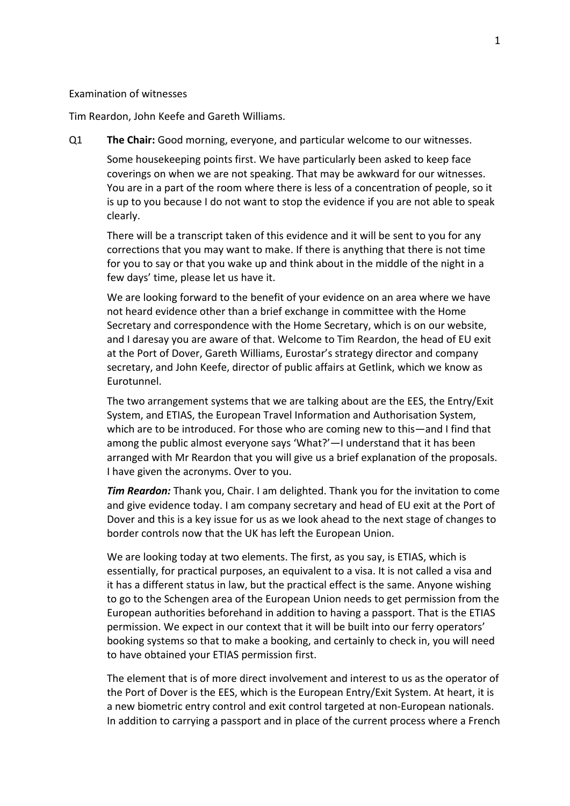#### <span id="page-1-0"></span>Examination of witnesses

Tim Reardon, John Keefe and Gareth Williams.

Q1 **The Chair:** Good morning, everyone, and particular welcome to our witnesses.

Some housekeeping points first. We have particularly been asked to keep face coverings on when we are not speaking. That may be awkward for our witnesses. You are in a part of the room where there is less of a concentration of people, so it is up to you because I do not want to stop the evidence if you are not able to speak clearly.

There will be a transcript taken of this evidence and it will be sent to you for any corrections that you may want to make. If there is anything that there is not time for you to say or that you wake up and think about in the middle of the night in a few days' time, please let us have it.

We are looking forward to the benefit of your evidence on an area where we have not heard evidence other than a brief exchange in committee with the Home Secretary and correspondence with the Home Secretary, which is on our website, and I daresay you are aware of that. Welcome to Tim Reardon, the head of EU exit at the Port of Dover, Gareth Williams, Eurostar's strategy director and company secretary, and John Keefe, director of public affairs at Getlink, which we know as Eurotunnel.

The two arrangement systems that we are talking about are the EES, the Entry/Exit System, and ETIAS, the European Travel Information and Authorisation System, which are to be introduced. For those who are coming new to this—and I find that among the public almost everyone says 'What?'—I understand that it has been arranged with Mr Reardon that you will give us a brief explanation of the proposals. I have given the acronyms. Over to you.

*Tim Reardon:* Thank you, Chair. I am delighted. Thank you for the invitation to come and give evidence today. I am company secretary and head of EU exit at the Port of Dover and this is a key issue for us as we look ahead to the next stage of changes to border controls now that the UK has left the European Union.

We are looking today at two elements. The first, as you say, is ETIAS, which is essentially, for practical purposes, an equivalent to a visa. It is not called a visa and it has a different status in law, but the practical effect is the same. Anyone wishing to go to the Schengen area of the European Union needs to get permission from the European authorities beforehand in addition to having a passport. That is the ETIAS permission. We expect in our context that it will be built into our ferry operators' booking systems so that to make a booking, and certainly to check in, you will need to have obtained your ETIAS permission first.

The element that is of more direct involvement and interest to us as the operator of the Port of Dover is the EES, which is the European Entry/Exit System. At heart, it is a new biometric entry control and exit control targeted at non-European nationals. In addition to carrying a passport and in place of the current process where a French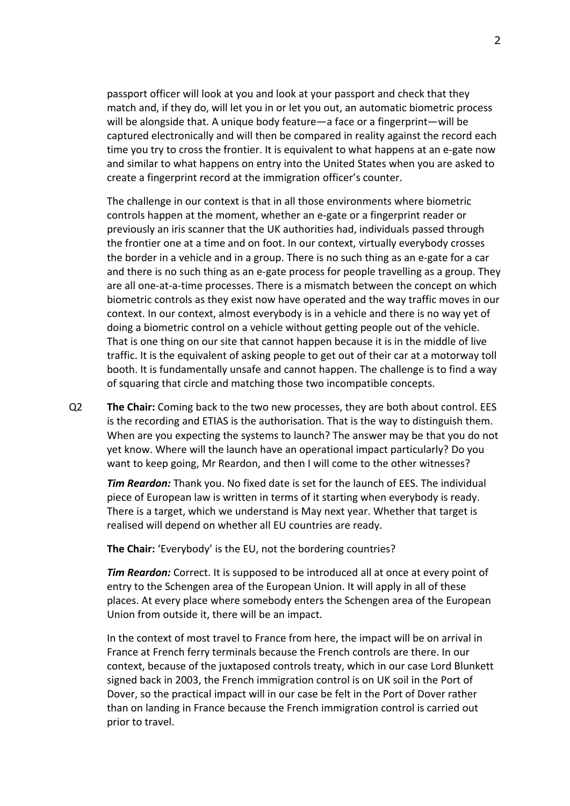passport officer will look at you and look at your passport and check that they match and, if they do, will let you in or let you out, an automatic biometric process will be alongside that. A unique body feature—a face or a fingerprint—will be captured electronically and will then be compared in reality against the record each time you try to cross the frontier. It is equivalent to what happens at an e-gate now and similar to what happens on entry into the United States when you are asked to create a fingerprint record at the immigration officer's counter.

The challenge in our context is that in all those environments where biometric controls happen at the moment, whether an e-gate or a fingerprint reader or previously an iris scanner that the UK authorities had, individuals passed through the frontier one at a time and on foot. In our context, virtually everybody crosses the border in a vehicle and in a group. There is no such thing as an e-gate for a car and there is no such thing as an e-gate process for people travelling as a group. They are all one-at-a-time processes. There is a mismatch between the concept on which biometric controls as they exist now have operated and the way traffic moves in our context. In our context, almost everybody is in a vehicle and there is no way yet of doing a biometric control on a vehicle without getting people out of the vehicle. That is one thing on our site that cannot happen because it is in the middle of live traffic. It is the equivalent of asking people to get out of their car at a motorway toll booth. It is fundamentally unsafe and cannot happen. The challenge is to find a way of squaring that circle and matching those two incompatible concepts.

Q2 **The Chair:** Coming back to the two new processes, they are both about control. EES is the recording and ETIAS is the authorisation. That is the way to distinguish them. When are you expecting the systems to launch? The answer may be that you do not yet know. Where will the launch have an operational impact particularly? Do you want to keep going, Mr Reardon, and then I will come to the other witnesses?

*Tim Reardon:* Thank you. No fixed date is set for the launch of EES. The individual piece of European law is written in terms of it starting when everybody is ready. There is a target, which we understand is May next year. Whether that target is realised will depend on whether all EU countries are ready.

**The Chair:** 'Everybody' is the EU, not the bordering countries?

*Tim Reardon:* Correct. It is supposed to be introduced all at once at every point of entry to the Schengen area of the European Union. It will apply in all of these places. At every place where somebody enters the Schengen area of the European Union from outside it, there will be an impact.

In the context of most travel to France from here, the impact will be on arrival in France at French ferry terminals because the French controls are there. In our context, because of the juxtaposed controls treaty, which in our case Lord Blunkett signed back in 2003, the French immigration control is on UK soil in the Port of Dover, so the practical impact will in our case be felt in the Port of Dover rather than on landing in France because the French immigration control is carried out prior to travel.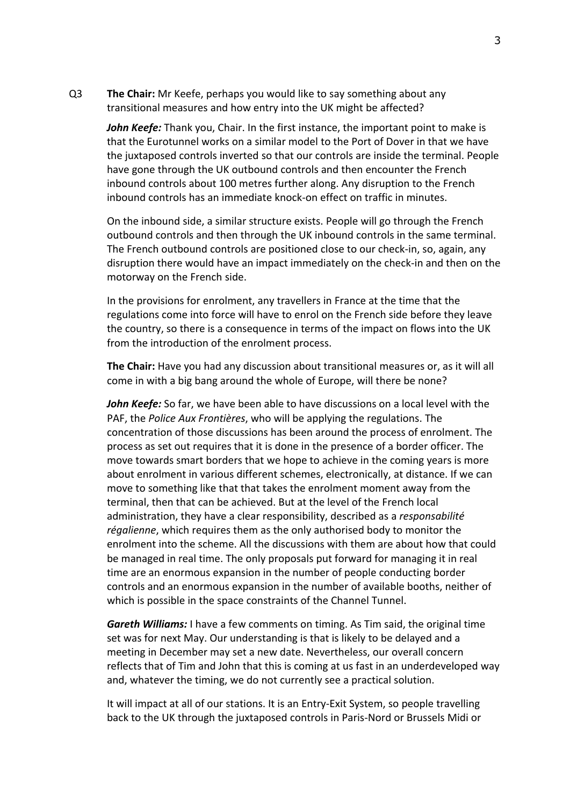Q3 **The Chair:** Mr Keefe, perhaps you would like to say something about any transitional measures and how entry into the UK might be affected?

*John Keefe:* Thank you, Chair. In the first instance, the important point to make is that the Eurotunnel works on a similar model to the Port of Dover in that we have the juxtaposed controls inverted so that our controls are inside the terminal. People have gone through the UK outbound controls and then encounter the French inbound controls about 100 metres further along. Any disruption to the French inbound controls has an immediate knock-on effect on traffic in minutes.

On the inbound side, a similar structure exists. People will go through the French outbound controls and then through the UK inbound controls in the same terminal. The French outbound controls are positioned close to our check-in, so, again, any disruption there would have an impact immediately on the check-in and then on the motorway on the French side.

In the provisions for enrolment, any travellers in France at the time that the regulations come into force will have to enrol on the French side before they leave the country, so there is a consequence in terms of the impact on flows into the UK from the introduction of the enrolment process.

**The Chair:** Have you had any discussion about transitional measures or, as it will all come in with a big bang around the whole of Europe, will there be none?

*John Keefe:* So far, we have been able to have discussions on a local level with the PAF, the *Police Aux Frontières*, who will be applying the regulations. The concentration of those discussions has been around the process of enrolment. The process as set out requires that it is done in the presence of a border officer. The move towards smart borders that we hope to achieve in the coming years is more about enrolment in various different schemes, electronically, at distance. If we can move to something like that that takes the enrolment moment away from the terminal, then that can be achieved. But at the level of the French local administration, they have a clear responsibility, described as a *responsabilité régalienne*, which requires them as the only authorised body to monitor the enrolment into the scheme. All the discussions with them are about how that could be managed in real time. The only proposals put forward for managing it in real time are an enormous expansion in the number of people conducting border controls and an enormous expansion in the number of available booths, neither of which is possible in the space constraints of the Channel Tunnel.

*Gareth Williams:* I have a few comments on timing. As Tim said, the original time set was for next May. Our understanding is that is likely to be delayed and a meeting in December may set a new date. Nevertheless, our overall concern reflects that of Tim and John that this is coming at us fast in an underdeveloped way and, whatever the timing, we do not currently see a practical solution.

It will impact at all of our stations. It is an Entry-Exit System, so people travelling back to the UK through the juxtaposed controls in Paris-Nord or Brussels Midi or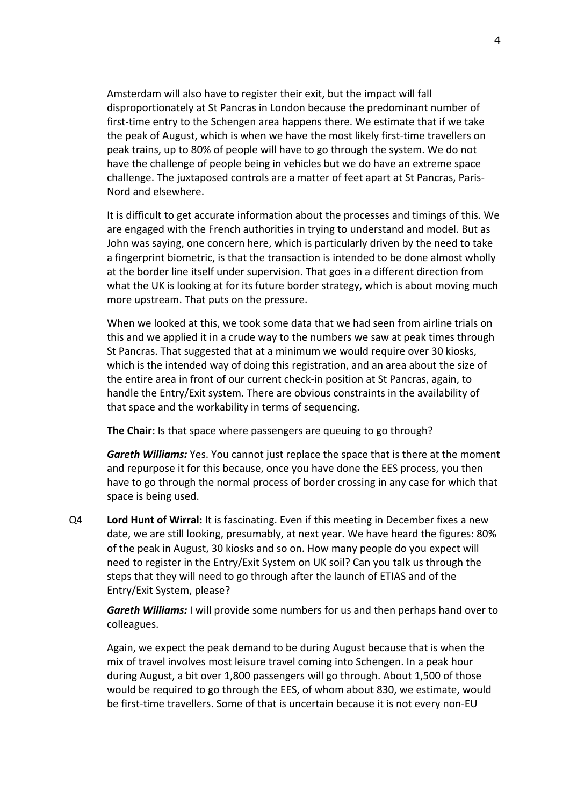Amsterdam will also have to register their exit, but the impact will fall disproportionately at St Pancras in London because the predominant number of first-time entry to the Schengen area happens there. We estimate that if we take the peak of August, which is when we have the most likely first-time travellers on peak trains, up to 80% of people will have to go through the system. We do not have the challenge of people being in vehicles but we do have an extreme space challenge. The juxtaposed controls are a matter of feet apart at St Pancras, Paris-Nord and elsewhere.

It is difficult to get accurate information about the processes and timings of this. We are engaged with the French authorities in trying to understand and model. But as John was saying, one concern here, which is particularly driven by the need to take a fingerprint biometric, is that the transaction is intended to be done almost wholly at the border line itself under supervision. That goes in a different direction from what the UK is looking at for its future border strategy, which is about moving much more upstream. That puts on the pressure.

When we looked at this, we took some data that we had seen from airline trials on this and we applied it in a crude way to the numbers we saw at peak times through St Pancras. That suggested that at a minimum we would require over 30 kiosks, which is the intended way of doing this registration, and an area about the size of the entire area in front of our current check-in position at St Pancras, again, to handle the Entry/Exit system. There are obvious constraints in the availability of that space and the workability in terms of sequencing.

**The Chair:** Is that space where passengers are queuing to go through?

*Gareth Williams:* Yes. You cannot just replace the space that is there at the moment and repurpose it for this because, once you have done the EES process, you then have to go through the normal process of border crossing in any case for which that space is being used.

Q4 **Lord Hunt of Wirral:** It is fascinating. Even if this meeting in December fixes a new date, we are still looking, presumably, at next year. We have heard the figures: 80% of the peak in August, 30 kiosks and so on. How many people do you expect will need to register in the Entry/Exit System on UK soil? Can you talk us through the steps that they will need to go through after the launch of ETIAS and of the Entry/Exit System, please?

*Gareth Williams:* I will provide some numbers for us and then perhaps hand over to colleagues.

Again, we expect the peak demand to be during August because that is when the mix of travel involves most leisure travel coming into Schengen. In a peak hour during August, a bit over 1,800 passengers will go through. About 1,500 of those would be required to go through the EES, of whom about 830, we estimate, would be first-time travellers. Some of that is uncertain because it is not every non-EU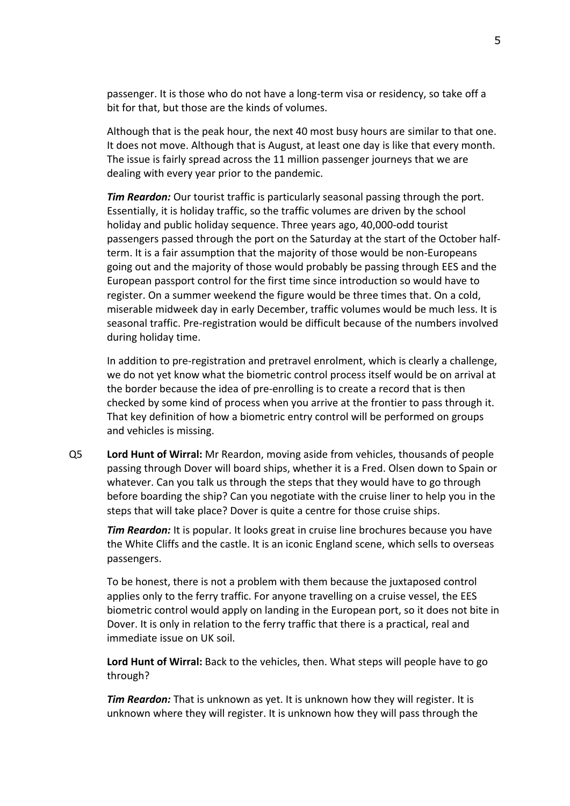passenger. It is those who do not have a long-term visa or residency, so take off a bit for that, but those are the kinds of volumes.

Although that is the peak hour, the next 40 most busy hours are similar to that one. It does not move. Although that is August, at least one day is like that every month. The issue is fairly spread across the 11 million passenger journeys that we are dealing with every year prior to the pandemic.

*Tim Reardon:* Our tourist traffic is particularly seasonal passing through the port. Essentially, it is holiday traffic, so the traffic volumes are driven by the school holiday and public holiday sequence. Three years ago, 40,000-odd tourist passengers passed through the port on the Saturday at the start of the October halfterm. It is a fair assumption that the majority of those would be non-Europeans going out and the majority of those would probably be passing through EES and the European passport control for the first time since introduction so would have to register. On a summer weekend the figure would be three times that. On a cold, miserable midweek day in early December, traffic volumes would be much less. It is seasonal traffic. Pre-registration would be difficult because of the numbers involved during holiday time.

In addition to pre-registration and pretravel enrolment, which is clearly a challenge, we do not yet know what the biometric control process itself would be on arrival at the border because the idea of pre-enrolling is to create a record that is then checked by some kind of process when you arrive at the frontier to pass through it. That key definition of how a biometric entry control will be performed on groups and vehicles is missing.

Q5 **Lord Hunt of Wirral:** Mr Reardon, moving aside from vehicles, thousands of people passing through Dover will board ships, whether it is a Fred. Olsen down to Spain or whatever. Can you talk us through the steps that they would have to go through before boarding the ship? Can you negotiate with the cruise liner to help you in the steps that will take place? Dover is quite a centre for those cruise ships.

*Tim Reardon:* It is popular. It looks great in cruise line brochures because you have the White Cliffs and the castle. It is an iconic England scene, which sells to overseas passengers.

To be honest, there is not a problem with them because the juxtaposed control applies only to the ferry traffic. For anyone travelling on a cruise vessel, the EES biometric control would apply on landing in the European port, so it does not bite in Dover. It is only in relation to the ferry traffic that there is a practical, real and immediate issue on UK soil.

**Lord Hunt of Wirral:** Back to the vehicles, then. What steps will people have to go through?

*Tim Reardon:* That is unknown as yet. It is unknown how they will register. It is unknown where they will register. It is unknown how they will pass through the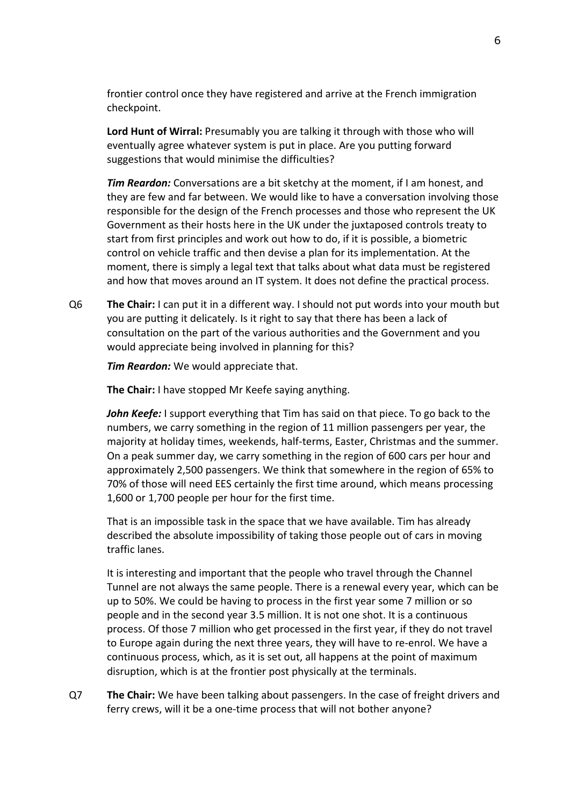frontier control once they have registered and arrive at the French immigration checkpoint.

**Lord Hunt of Wirral:** Presumably you are talking it through with those who will eventually agree whatever system is put in place. Are you putting forward suggestions that would minimise the difficulties?

*Tim Reardon:* Conversations are a bit sketchy at the moment, if I am honest, and they are few and far between. We would like to have a conversation involving those responsible for the design of the French processes and those who represent the UK Government as their hosts here in the UK under the juxtaposed controls treaty to start from first principles and work out how to do, if it is possible, a biometric control on vehicle traffic and then devise a plan for its implementation. At the moment, there is simply a legal text that talks about what data must be registered and how that moves around an IT system. It does not define the practical process.

Q6 **The Chair:** I can put it in a different way. I should not put words into your mouth but you are putting it delicately. Is it right to say that there has been a lack of consultation on the part of the various authorities and the Government and you would appreciate being involved in planning for this?

*Tim Reardon:* We would appreciate that.

**The Chair:** I have stopped Mr Keefe saying anything.

*John Keefe:* I support everything that Tim has said on that piece. To go back to the numbers, we carry something in the region of 11 million passengers per year, the majority at holiday times, weekends, half-terms, Easter, Christmas and the summer. On a peak summer day, we carry something in the region of 600 cars per hour and approximately 2,500 passengers. We think that somewhere in the region of 65% to 70% of those will need EES certainly the first time around, which means processing 1,600 or 1,700 people per hour for the first time.

That is an impossible task in the space that we have available. Tim has already described the absolute impossibility of taking those people out of cars in moving traffic lanes.

It is interesting and important that the people who travel through the Channel Tunnel are not always the same people. There is a renewal every year, which can be up to 50%. We could be having to process in the first year some 7 million or so people and in the second year 3.5 million. It is not one shot. It is a continuous process. Of those 7 million who get processed in the first year, if they do not travel to Europe again during the next three years, they will have to re-enrol. We have a continuous process, which, as it is set out, all happens at the point of maximum disruption, which is at the frontier post physically at the terminals.

Q7 **The Chair:** We have been talking about passengers. In the case of freight drivers and ferry crews, will it be a one-time process that will not bother anyone?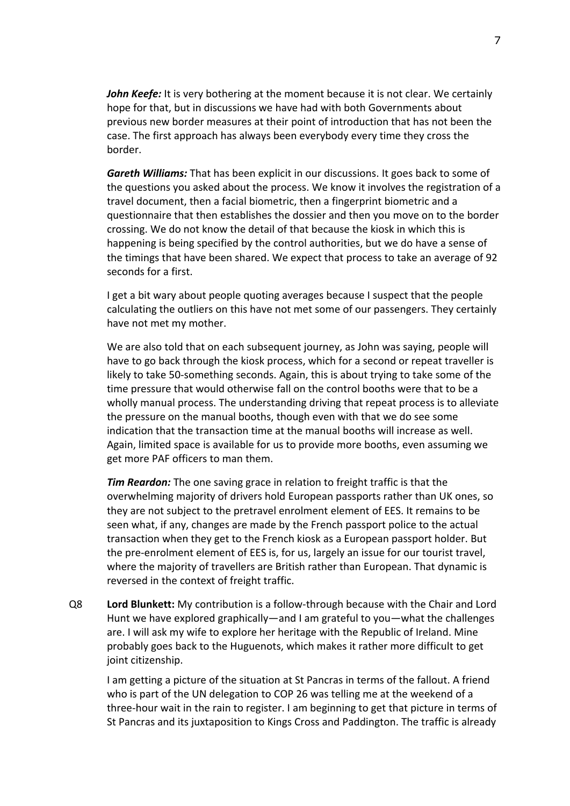*John Keefe:* It is very bothering at the moment because it is not clear. We certainly hope for that, but in discussions we have had with both Governments about previous new border measures at their point of introduction that has not been the case. The first approach has always been everybody every time they cross the border.

*Gareth Williams:* That has been explicit in our discussions. It goes back to some of the questions you asked about the process. We know it involves the registration of a travel document, then a facial biometric, then a fingerprint biometric and a questionnaire that then establishes the dossier and then you move on to the border crossing. We do not know the detail of that because the kiosk in which this is happening is being specified by the control authorities, but we do have a sense of the timings that have been shared. We expect that process to take an average of 92 seconds for a first.

I get a bit wary about people quoting averages because I suspect that the people calculating the outliers on this have not met some of our passengers. They certainly have not met my mother.

We are also told that on each subsequent journey, as John was saying, people will have to go back through the kiosk process, which for a second or repeat traveller is likely to take 50-something seconds. Again, this is about trying to take some of the time pressure that would otherwise fall on the control booths were that to be a wholly manual process. The understanding driving that repeat process is to alleviate the pressure on the manual booths, though even with that we do see some indication that the transaction time at the manual booths will increase as well. Again, limited space is available for us to provide more booths, even assuming we get more PAF officers to man them.

*Tim Reardon:* The one saving grace in relation to freight traffic is that the overwhelming majority of drivers hold European passports rather than UK ones, so they are not subject to the pretravel enrolment element of EES. It remains to be seen what, if any, changes are made by the French passport police to the actual transaction when they get to the French kiosk as a European passport holder. But the pre-enrolment element of EES is, for us, largely an issue for our tourist travel, where the majority of travellers are British rather than European. That dynamic is reversed in the context of freight traffic.

Q8 **Lord Blunkett:** My contribution is a follow-through because with the Chair and Lord Hunt we have explored graphically—and I am grateful to you—what the challenges are. I will ask my wife to explore her heritage with the Republic of Ireland. Mine probably goes back to the Huguenots, which makes it rather more difficult to get joint citizenship.

I am getting a picture of the situation at St Pancras in terms of the fallout. A friend who is part of the UN delegation to COP 26 was telling me at the weekend of a three-hour wait in the rain to register. I am beginning to get that picture in terms of St Pancras and its juxtaposition to Kings Cross and Paddington. The traffic is already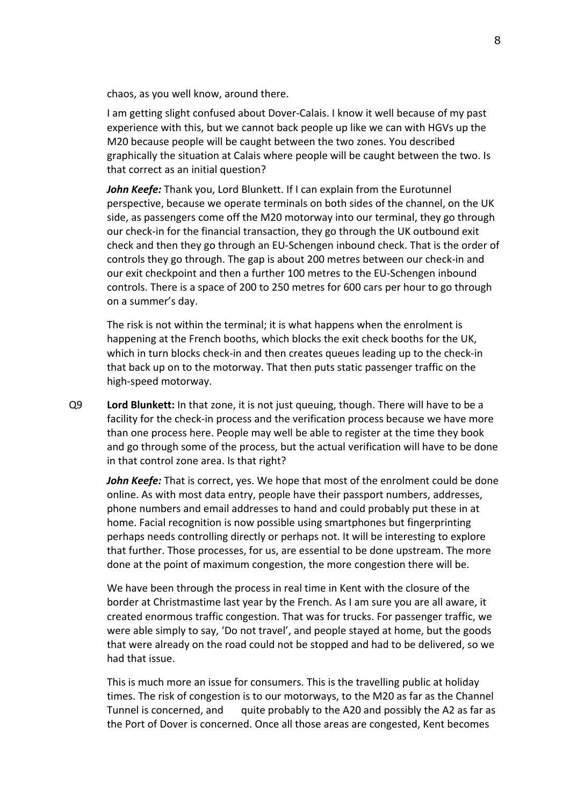chaos, as you well know, around there.

I am getting slight confused about Dover-Calais. I know it well because of my past experience with this, but we cannot back people up like we can with HGVs up the M20 because people will be caught between the two zones. You described graphically the situation at Calais where people will be caught between the two. Is that correct as an initial question?

*John Keefe:* Thank you, Lord Blunkett. If I can explain from the Eurotunnel perspective, because we operate terminals on both sides of the channel, on the UK side, as passengers come off the M20 motorway into our terminal, they go through our check-in for the financial transaction, they go through the UK outbound exit check and then they go through an EU-Schengen inbound check. That is the order of controls they go through. The gap is about 200 metres between our check-in and our exit checkpoint and then a further 100 metres to the EU-Schengen inbound controls. There is a space of 200 to 250 metres for 600 cars per hour to go through on a summer's day.

The risk is not within the terminal; it is what happens when the enrolment is happening at the French booths, which blocks the exit check booths for the UK, which in turn blocks check-in and then creates queues leading up to the check-in that back up on to the motorway. That then puts static passenger traffic on the high-speed motorway.

Q9 **Lord Blunkett:** In that zone, it is not just queuing, though. There will have to be a facility for the check-in process and the verification process because we have more than one process here. People may well be able to register at the time they book and go through some of the process, but the actual verification will have to be done in that control zone area. Is that right?

*John Keefe:* That is correct, yes. We hope that most of the enrolment could be done online. As with most data entry, people have their passport numbers, addresses, phone numbers and email addresses to hand and could probably put these in at home. Facial recognition is now possible using smartphones but fingerprinting perhaps needs controlling directly or perhaps not. It will be interesting to explore that further. Those processes, for us, are essential to be done upstream. The more done at the point of maximum congestion, the more congestion there will be.

We have been through the process in real time in Kent with the closure of the border at Christmastime last year by the French. As I am sure you are all aware, it created enormous traffic congestion. That was for trucks. For passenger traffic, we were able simply to say, 'Do not travel', and people stayed at home, but the goods that were already on the road could not be stopped and had to be delivered, so we had that issue.

This is much more an issue for consumers. This is the travelling public at holiday times. The risk of congestion is to our motorways, to the M20 as far as the Channel Tunnel is concerned, and quite probably to the A20 and possibly the A2 as far as the Port of Dover is concerned. Once all those areas are congested, Kent becomes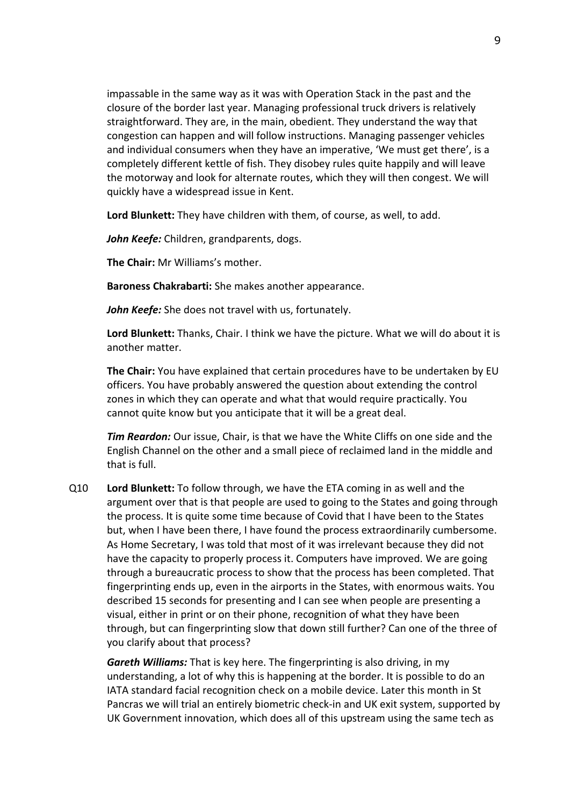impassable in the same way as it was with Operation Stack in the past and the closure of the border last year. Managing professional truck drivers is relatively straightforward. They are, in the main, obedient. They understand the way that congestion can happen and will follow instructions. Managing passenger vehicles and individual consumers when they have an imperative, 'We must get there', is a completely different kettle of fish. They disobey rules quite happily and will leave the motorway and look for alternate routes, which they will then congest. We will quickly have a widespread issue in Kent.

**Lord Blunkett:** They have children with them, of course, as well, to add.

*John Keefe:* Children, grandparents, dogs.

**The Chair:** Mr Williams's mother.

**Baroness Chakrabarti:** She makes another appearance.

*John Keefe:* She does not travel with us, fortunately.

**Lord Blunkett:** Thanks, Chair. I think we have the picture. What we will do about it is another matter.

**The Chair:** You have explained that certain procedures have to be undertaken by EU officers. You have probably answered the question about extending the control zones in which they can operate and what that would require practically. You cannot quite know but you anticipate that it will be a great deal.

*Tim Reardon:* Our issue, Chair, is that we have the White Cliffs on one side and the English Channel on the other and a small piece of reclaimed land in the middle and that is full.

Q10 **Lord Blunkett:** To follow through, we have the ETA coming in as well and the argument over that is that people are used to going to the States and going through the process. It is quite some time because of Covid that I have been to the States but, when I have been there, I have found the process extraordinarily cumbersome. As Home Secretary, I was told that most of it was irrelevant because they did not have the capacity to properly process it. Computers have improved. We are going through a bureaucratic process to show that the process has been completed. That fingerprinting ends up, even in the airports in the States, with enormous waits. You described 15 seconds for presenting and I can see when people are presenting a visual, either in print or on their phone, recognition of what they have been through, but can fingerprinting slow that down still further? Can one of the three of you clarify about that process?

*Gareth Williams:* That is key here. The fingerprinting is also driving, in my understanding, a lot of why this is happening at the border. It is possible to do an IATA standard facial recognition check on a mobile device. Later this month in St Pancras we will trial an entirely biometric check-in and UK exit system, supported by UK Government innovation, which does all of this upstream using the same tech as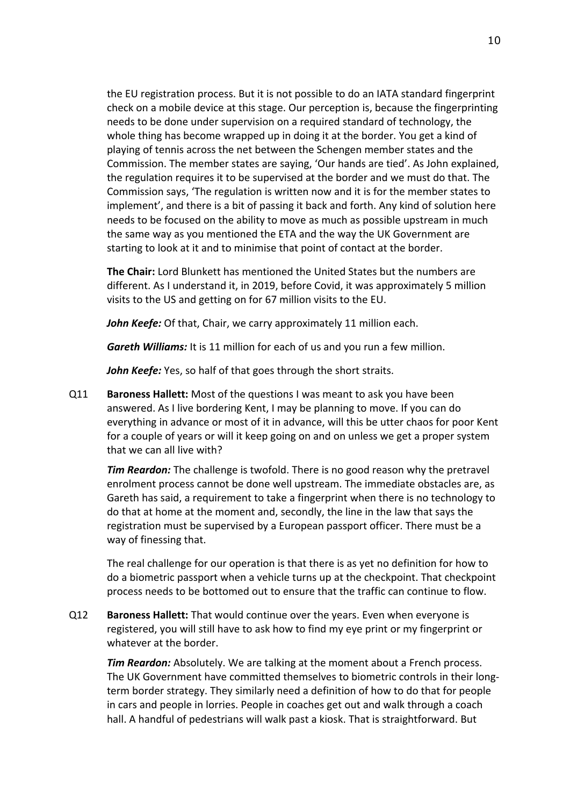the EU registration process. But it is not possible to do an IATA standard fingerprint check on a mobile device at this stage. Our perception is, because the fingerprinting needs to be done under supervision on a required standard of technology, the whole thing has become wrapped up in doing it at the border. You get a kind of playing of tennis across the net between the Schengen member states and the Commission. The member states are saying, 'Our hands are tied'. As John explained, the regulation requires it to be supervised at the border and we must do that. The Commission says, 'The regulation is written now and it is for the member states to implement', and there is a bit of passing it back and forth. Any kind of solution here needs to be focused on the ability to move as much as possible upstream in much the same way as you mentioned the ETA and the way the UK Government are starting to look at it and to minimise that point of contact at the border.

**The Chair:** Lord Blunkett has mentioned the United States but the numbers are different. As I understand it, in 2019, before Covid, it was approximately 5 million visits to the US and getting on for 67 million visits to the EU.

*John Keefe:* Of that, Chair, we carry approximately 11 million each.

*Gareth Williams:* It is 11 million for each of us and you run a few million.

*John Keefe:* Yes, so half of that goes through the short straits.

Q11 **Baroness Hallett:** Most of the questions I was meant to ask you have been answered. As I live bordering Kent, I may be planning to move. If you can do everything in advance or most of it in advance, will this be utter chaos for poor Kent for a couple of years or will it keep going on and on unless we get a proper system that we can all live with?

*Tim Reardon:* The challenge is twofold. There is no good reason why the pretravel enrolment process cannot be done well upstream. The immediate obstacles are, as Gareth has said, a requirement to take a fingerprint when there is no technology to do that at home at the moment and, secondly, the line in the law that says the registration must be supervised by a European passport officer. There must be a way of finessing that.

The real challenge for our operation is that there is as yet no definition for how to do a biometric passport when a vehicle turns up at the checkpoint. That checkpoint process needs to be bottomed out to ensure that the traffic can continue to flow.

Q12 **Baroness Hallett:** That would continue over the years. Even when everyone is registered, you will still have to ask how to find my eye print or my fingerprint or whatever at the border.

*Tim Reardon:* Absolutely. We are talking at the moment about a French process. The UK Government have committed themselves to biometric controls in their longterm border strategy. They similarly need a definition of how to do that for people in cars and people in lorries. People in coaches get out and walk through a coach hall. A handful of pedestrians will walk past a kiosk. That is straightforward. But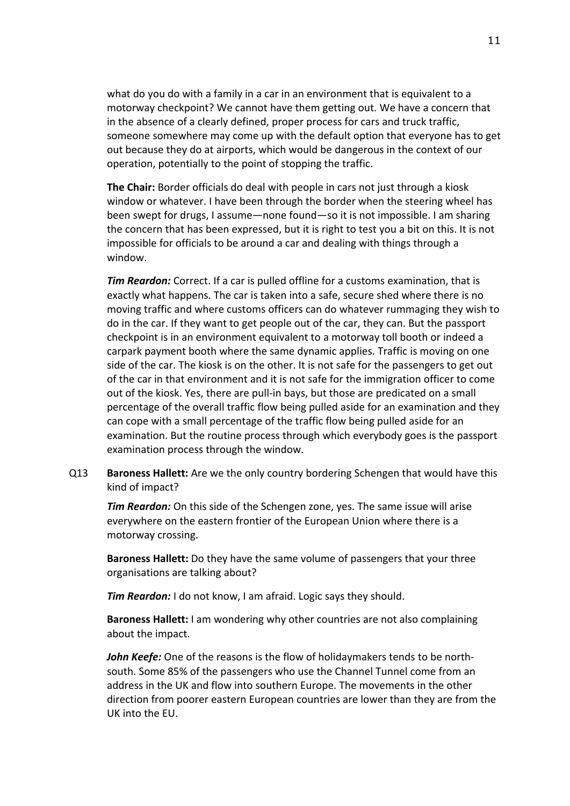what do you do with a family in a car in an environment that is equivalent to a motorway checkpoint? We cannot have them getting out. We have a concern that in the absence of a clearly defined, proper process for cars and truck traffic, someone somewhere may come up with the default option that everyone has to get out because they do at airports, which would be dangerous in the context of our operation, potentially to the point of stopping the traffic.

**The Chair:** Border officials do deal with people in cars not just through a kiosk window or whatever. I have been through the border when the steering wheel has been swept for drugs, I assume—none found—so it is not impossible. I am sharing the concern that has been expressed, but it is right to test you a bit on this. It is not impossible for officials to be around a car and dealing with things through a window.

*Tim Reardon:* Correct. If a car is pulled offline for a customs examination, that is exactly what happens. The car is taken into a safe, secure shed where there is no moving traffic and where customs officers can do whatever rummaging they wish to do in the car. If they want to get people out of the car, they can. But the passport checkpoint is in an environment equivalent to a motorway toll booth or indeed a carpark payment booth where the same dynamic applies. Traffic is moving on one side of the car. The kiosk is on the other. It is not safe for the passengers to get out of the car in that environment and it is not safe for the immigration officer to come out of the kiosk. Yes, there are pull-in bays, but those are predicated on a small percentage of the overall traffic flow being pulled aside for an examination and they can cope with a small percentage of the traffic flow being pulled aside for an examination. But the routine process through which everybody goes is the passport examination process through the window.

Q13 **Baroness Hallett:** Are we the only country bordering Schengen that would have this kind of impact?

*Tim Reardon:* On this side of the Schengen zone, yes. The same issue will arise everywhere on the eastern frontier of the European Union where there is a motorway crossing.

**Baroness Hallett:** Do they have the same volume of passengers that your three organisations are talking about?

*Tim Reardon:* I do not know, I am afraid. Logic says they should.

**Baroness Hallett:** I am wondering why other countries are not also complaining about the impact.

*John Keefe:* One of the reasons is the flow of holidaymakers tends to be northsouth. Some 85% of the passengers who use the Channel Tunnel come from an address in the UK and flow into southern Europe. The movements in the other direction from poorer eastern European countries are lower than they are from the UK into the EU.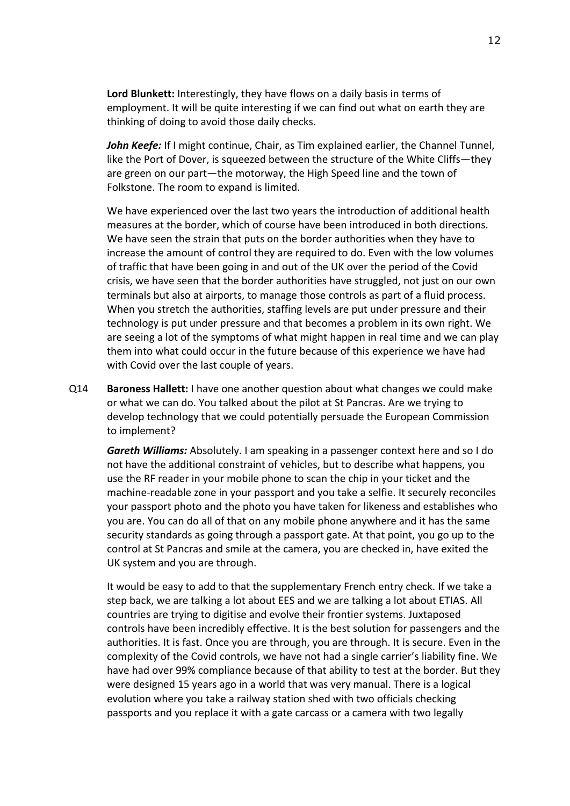**Lord Blunkett:** Interestingly, they have flows on a daily basis in terms of employment. It will be quite interesting if we can find out what on earth they are thinking of doing to avoid those daily checks.

John Keefe: If I might continue, Chair, as Tim explained earlier, the Channel Tunnel, like the Port of Dover, is squeezed between the structure of the White Cliffs—they are green on our part—the motorway, the High Speed line and the town of Folkstone. The room to expand is limited.

We have experienced over the last two years the introduction of additional health measures at the border, which of course have been introduced in both directions. We have seen the strain that puts on the border authorities when they have to increase the amount of control they are required to do. Even with the low volumes of traffic that have been going in and out of the UK over the period of the Covid crisis, we have seen that the border authorities have struggled, not just on our own terminals but also at airports, to manage those controls as part of a fluid process. When you stretch the authorities, staffing levels are put under pressure and their technology is put under pressure and that becomes a problem in its own right. We are seeing a lot of the symptoms of what might happen in real time and we can play them into what could occur in the future because of this experience we have had with Covid over the last couple of years.

Q14 **Baroness Hallett:** I have one another question about what changes we could make or what we can do. You talked about the pilot at St Pancras. Are we trying to develop technology that we could potentially persuade the European Commission to implement?

*Gareth Williams:* Absolutely. I am speaking in a passenger context here and so I do not have the additional constraint of vehicles, but to describe what happens, you use the RF reader in your mobile phone to scan the chip in your ticket and the machine-readable zone in your passport and you take a selfie. It securely reconciles your passport photo and the photo you have taken for likeness and establishes who you are. You can do all of that on any mobile phone anywhere and it has the same security standards as going through a passport gate. At that point, you go up to the control at St Pancras and smile at the camera, you are checked in, have exited the UK system and you are through.

It would be easy to add to that the supplementary French entry check. If we take a step back, we are talking a lot about EES and we are talking a lot about ETIAS. All countries are trying to digitise and evolve their frontier systems. Juxtaposed controls have been incredibly effective. It is the best solution for passengers and the authorities. It is fast. Once you are through, you are through. It is secure. Even in the complexity of the Covid controls, we have not had a single carrier's liability fine. We have had over 99% compliance because of that ability to test at the border. But they were designed 15 years ago in a world that was very manual. There is a logical evolution where you take a railway station shed with two officials checking passports and you replace it with a gate carcass or a camera with two legally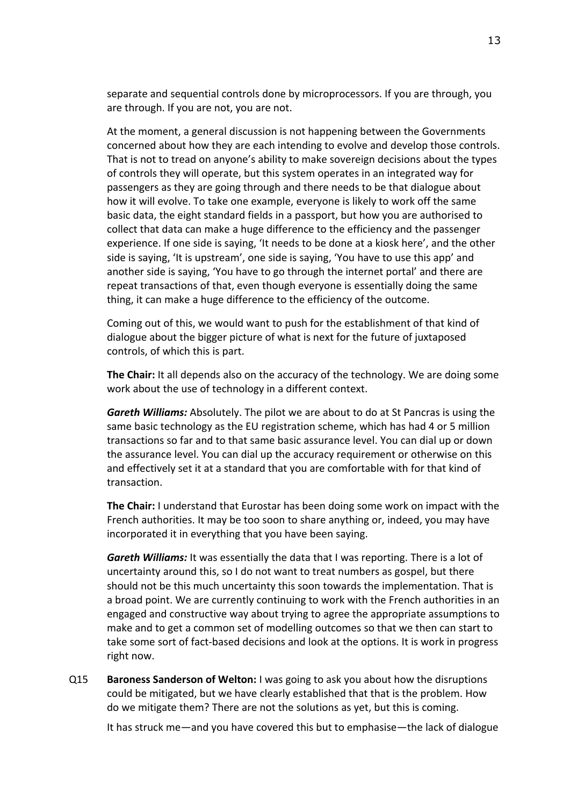separate and sequential controls done by microprocessors. If you are through, you are through. If you are not, you are not.

At the moment, a general discussion is not happening between the Governments concerned about how they are each intending to evolve and develop those controls. That is not to tread on anyone's ability to make sovereign decisions about the types of controls they will operate, but this system operates in an integrated way for passengers as they are going through and there needs to be that dialogue about how it will evolve. To take one example, everyone is likely to work off the same basic data, the eight standard fields in a passport, but how you are authorised to collect that data can make a huge difference to the efficiency and the passenger experience. If one side is saying, 'It needs to be done at a kiosk here', and the other side is saying, 'It is upstream', one side is saying, 'You have to use this app' and another side is saying, 'You have to go through the internet portal' and there are repeat transactions of that, even though everyone is essentially doing the same thing, it can make a huge difference to the efficiency of the outcome.

Coming out of this, we would want to push for the establishment of that kind of dialogue about the bigger picture of what is next for the future of juxtaposed controls, of which this is part.

**The Chair:** It all depends also on the accuracy of the technology. We are doing some work about the use of technology in a different context.

*Gareth Williams:* Absolutely. The pilot we are about to do at St Pancras is using the same basic technology as the EU registration scheme, which has had 4 or 5 million transactions so far and to that same basic assurance level. You can dial up or down the assurance level. You can dial up the accuracy requirement or otherwise on this and effectively set it at a standard that you are comfortable with for that kind of transaction.

**The Chair:** I understand that Eurostar has been doing some work on impact with the French authorities. It may be too soon to share anything or, indeed, you may have incorporated it in everything that you have been saying.

*Gareth Williams:* It was essentially the data that I was reporting. There is a lot of uncertainty around this, so I do not want to treat numbers as gospel, but there should not be this much uncertainty this soon towards the implementation. That is a broad point. We are currently continuing to work with the French authorities in an engaged and constructive way about trying to agree the appropriate assumptions to make and to get a common set of modelling outcomes so that we then can start to take some sort of fact-based decisions and look at the options. It is work in progress right now.

Q15 **Baroness Sanderson of Welton:** I was going to ask you about how the disruptions could be mitigated, but we have clearly established that that is the problem. How do we mitigate them? There are not the solutions as yet, but this is coming.

It has struck me—and you have covered this but to emphasise—the lack of dialogue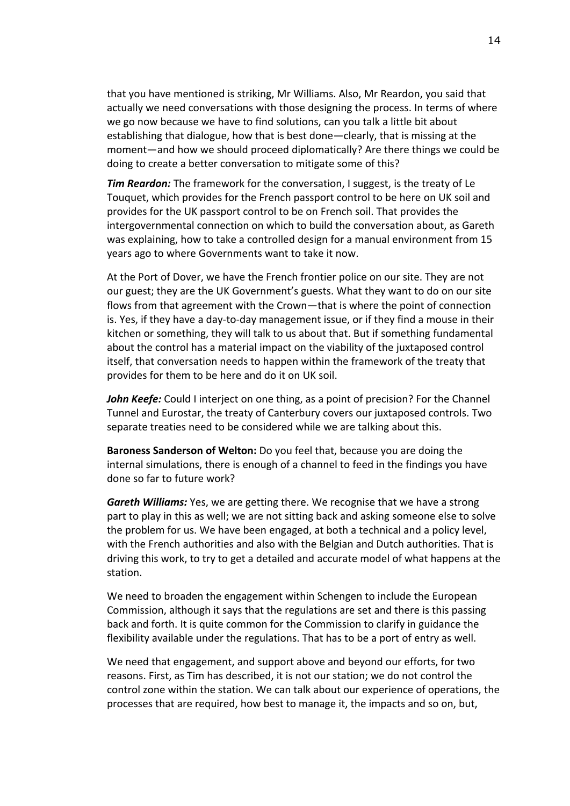that you have mentioned is striking, Mr Williams. Also, Mr Reardon, you said that actually we need conversations with those designing the process. In terms of where we go now because we have to find solutions, can you talk a little bit about establishing that dialogue, how that is best done—clearly, that is missing at the moment—and how we should proceed diplomatically? Are there things we could be doing to create a better conversation to mitigate some of this?

*Tim Reardon:* The framework for the conversation, I suggest, is the treaty of Le Touquet, which provides for the French passport control to be here on UK soil and provides for the UK passport control to be on French soil. That provides the intergovernmental connection on which to build the conversation about, as Gareth was explaining, how to take a controlled design for a manual environment from 15 years ago to where Governments want to take it now.

At the Port of Dover, we have the French frontier police on our site. They are not our guest; they are the UK Government's guests. What they want to do on our site flows from that agreement with the Crown—that is where the point of connection is. Yes, if they have a day-to-day management issue, or if they find a mouse in their kitchen or something, they will talk to us about that. But if something fundamental about the control has a material impact on the viability of the juxtaposed control itself, that conversation needs to happen within the framework of the treaty that provides for them to be here and do it on UK soil.

*John Keefe:* Could I interject on one thing, as a point of precision? For the Channel Tunnel and Eurostar, the treaty of Canterbury covers our juxtaposed controls. Two separate treaties need to be considered while we are talking about this.

**Baroness Sanderson of Welton:** Do you feel that, because you are doing the internal simulations, there is enough of a channel to feed in the findings you have done so far to future work?

*Gareth Williams:* Yes, we are getting there. We recognise that we have a strong part to play in this as well; we are not sitting back and asking someone else to solve the problem for us. We have been engaged, at both a technical and a policy level, with the French authorities and also with the Belgian and Dutch authorities. That is driving this work, to try to get a detailed and accurate model of what happens at the station.

We need to broaden the engagement within Schengen to include the European Commission, although it says that the regulations are set and there is this passing back and forth. It is quite common for the Commission to clarify in guidance the flexibility available under the regulations. That has to be a port of entry as well.

We need that engagement, and support above and beyond our efforts, for two reasons. First, as Tim has described, it is not our station; we do not control the control zone within the station. We can talk about our experience of operations, the processes that are required, how best to manage it, the impacts and so on, but,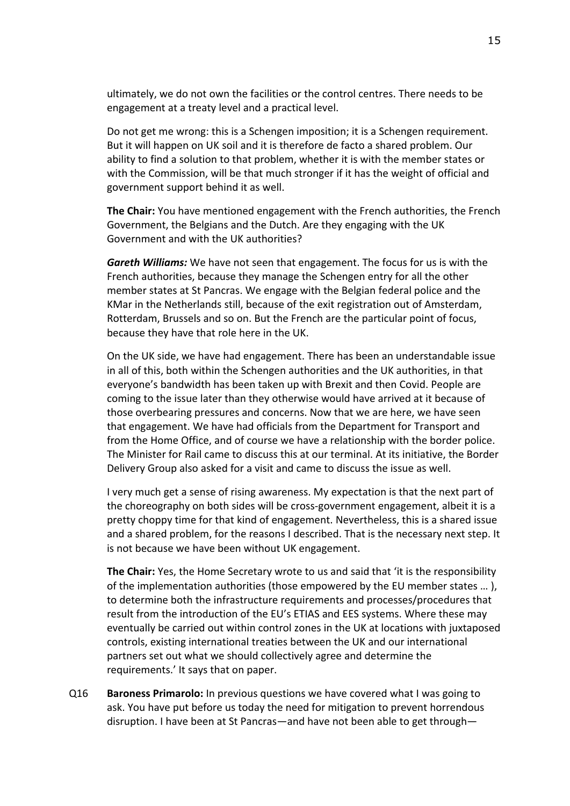ultimately, we do not own the facilities or the control centres. There needs to be engagement at a treaty level and a practical level.

Do not get me wrong: this is a Schengen imposition; it is a Schengen requirement. But it will happen on UK soil and it is therefore de facto a shared problem. Our ability to find a solution to that problem, whether it is with the member states or with the Commission, will be that much stronger if it has the weight of official and government support behind it as well.

**The Chair:** You have mentioned engagement with the French authorities, the French Government, the Belgians and the Dutch. Are they engaging with the UK Government and with the UK authorities?

*Gareth Williams:* We have not seen that engagement. The focus for us is with the French authorities, because they manage the Schengen entry for all the other member states at St Pancras. We engage with the Belgian federal police and the KMar in the Netherlands still, because of the exit registration out of Amsterdam, Rotterdam, Brussels and so on. But the French are the particular point of focus, because they have that role here in the UK.

On the UK side, we have had engagement. There has been an understandable issue in all of this, both within the Schengen authorities and the UK authorities, in that everyone's bandwidth has been taken up with Brexit and then Covid. People are coming to the issue later than they otherwise would have arrived at it because of those overbearing pressures and concerns. Now that we are here, we have seen that engagement. We have had officials from the Department for Transport and from the Home Office, and of course we have a relationship with the border police. The Minister for Rail came to discuss this at our terminal. At its initiative, the Border Delivery Group also asked for a visit and came to discuss the issue as well.

I very much get a sense of rising awareness. My expectation is that the next part of the choreography on both sides will be cross-government engagement, albeit it is a pretty choppy time for that kind of engagement. Nevertheless, this is a shared issue and a shared problem, for the reasons I described. That is the necessary next step. It is not because we have been without UK engagement.

**The Chair:** Yes, the Home Secretary wrote to us and said that 'it is the responsibility of the implementation authorities (those empowered by the EU member states … ), to determine both the infrastructure requirements and processes/procedures that result from the introduction of the EU's ETIAS and EES systems. Where these may eventually be carried out within control zones in the UK at locations with juxtaposed controls, existing international treaties between the UK and our international partners set out what we should collectively agree and determine the requirements.' It says that on paper.

Q16 **Baroness Primarolo:** In previous questions we have covered what I was going to ask. You have put before us today the need for mitigation to prevent horrendous disruption. I have been at St Pancras—and have not been able to get through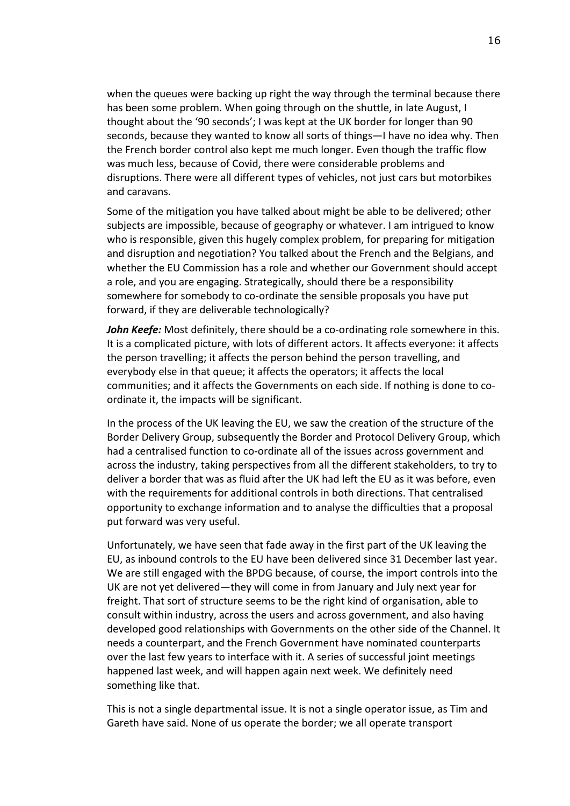when the queues were backing up right the way through the terminal because there has been some problem. When going through on the shuttle, in late August, I thought about the '90 seconds'; I was kept at the UK border for longer than 90 seconds, because they wanted to know all sorts of things—I have no idea why. Then the French border control also kept me much longer. Even though the traffic flow was much less, because of Covid, there were considerable problems and disruptions. There were all different types of vehicles, not just cars but motorbikes and caravans.

Some of the mitigation you have talked about might be able to be delivered; other subjects are impossible, because of geography or whatever. I am intrigued to know who is responsible, given this hugely complex problem, for preparing for mitigation and disruption and negotiation? You talked about the French and the Belgians, and whether the EU Commission has a role and whether our Government should accept a role, and you are engaging. Strategically, should there be a responsibility somewhere for somebody to co-ordinate the sensible proposals you have put forward, if they are deliverable technologically?

*John Keefe:* Most definitely, there should be a co-ordinating role somewhere in this. It is a complicated picture, with lots of different actors. It affects everyone: it affects the person travelling; it affects the person behind the person travelling, and everybody else in that queue; it affects the operators; it affects the local communities; and it affects the Governments on each side. If nothing is done to coordinate it, the impacts will be significant.

In the process of the UK leaving the EU, we saw the creation of the structure of the Border Delivery Group, subsequently the Border and Protocol Delivery Group, which had a centralised function to co-ordinate all of the issues across government and across the industry, taking perspectives from all the different stakeholders, to try to deliver a border that was as fluid after the UK had left the EU as it was before, even with the requirements for additional controls in both directions. That centralised opportunity to exchange information and to analyse the difficulties that a proposal put forward was very useful.

Unfortunately, we have seen that fade away in the first part of the UK leaving the EU, as inbound controls to the EU have been delivered since 31 December last year. We are still engaged with the BPDG because, of course, the import controls into the UK are not yet delivered—they will come in from January and July next year for freight. That sort of structure seems to be the right kind of organisation, able to consult within industry, across the users and across government, and also having developed good relationships with Governments on the other side of the Channel. It needs a counterpart, and the French Government have nominated counterparts over the last few years to interface with it. A series of successful joint meetings happened last week, and will happen again next week. We definitely need something like that.

This is not a single departmental issue. It is not a single operator issue, as Tim and Gareth have said. None of us operate the border; we all operate transport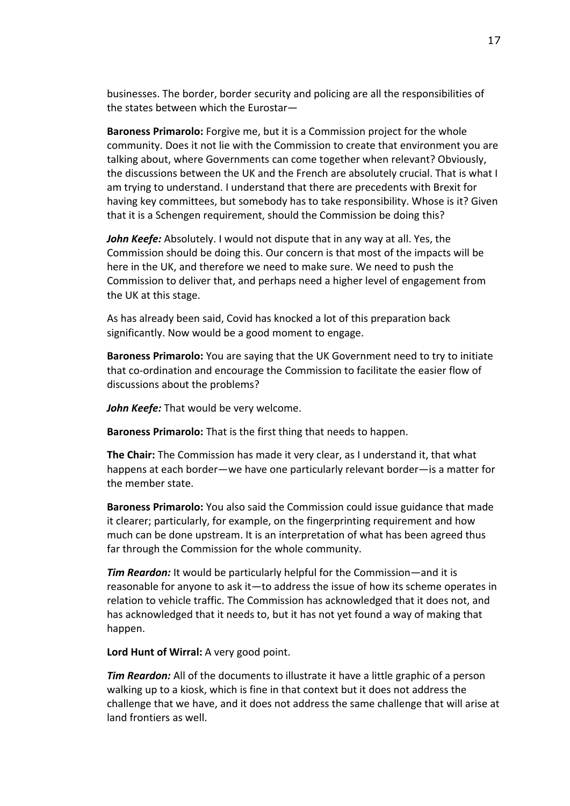businesses. The border, border security and policing are all the responsibilities of the states between which the Eurostar—

**Baroness Primarolo:** Forgive me, but it is a Commission project for the whole community. Does it not lie with the Commission to create that environment you are talking about, where Governments can come together when relevant? Obviously, the discussions between the UK and the French are absolutely crucial. That is what I am trying to understand. I understand that there are precedents with Brexit for having key committees, but somebody has to take responsibility. Whose is it? Given that it is a Schengen requirement, should the Commission be doing this?

*John Keefe:* Absolutely. I would not dispute that in any way at all. Yes, the Commission should be doing this. Our concern is that most of the impacts will be here in the UK, and therefore we need to make sure. We need to push the Commission to deliver that, and perhaps need a higher level of engagement from the UK at this stage.

As has already been said, Covid has knocked a lot of this preparation back significantly. Now would be a good moment to engage.

**Baroness Primarolo:** You are saying that the UK Government need to try to initiate that co-ordination and encourage the Commission to facilitate the easier flow of discussions about the problems?

*John Keefe:* That would be very welcome.

**Baroness Primarolo:** That is the first thing that needs to happen.

**The Chair:** The Commission has made it very clear, as I understand it, that what happens at each border—we have one particularly relevant border—is a matter for the member state.

**Baroness Primarolo:** You also said the Commission could issue guidance that made it clearer; particularly, for example, on the fingerprinting requirement and how much can be done upstream. It is an interpretation of what has been agreed thus far through the Commission for the whole community.

*Tim Reardon:* It would be particularly helpful for the Commission—and it is reasonable for anyone to ask it—to address the issue of how its scheme operates in relation to vehicle traffic. The Commission has acknowledged that it does not, and has acknowledged that it needs to, but it has not yet found a way of making that happen.

**Lord Hunt of Wirral:** A very good point.

*Tim Reardon:* All of the documents to illustrate it have a little graphic of a person walking up to a kiosk, which is fine in that context but it does not address the challenge that we have, and it does not address the same challenge that will arise at land frontiers as well.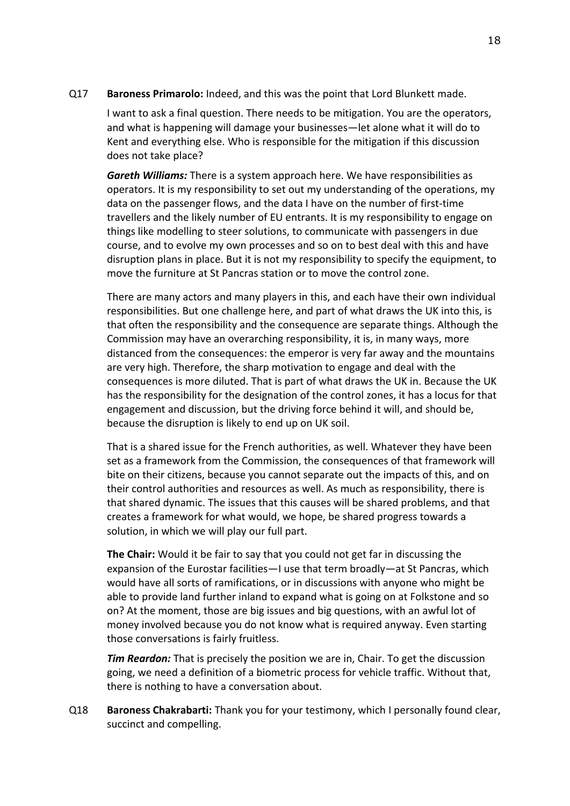Q17 **Baroness Primarolo:** Indeed, and this was the point that Lord Blunkett made.

I want to ask a final question. There needs to be mitigation. You are the operators, and what is happening will damage your businesses—let alone what it will do to Kent and everything else. Who is responsible for the mitigation if this discussion does not take place?

*Gareth Williams:* There is a system approach here. We have responsibilities as operators. It is my responsibility to set out my understanding of the operations, my data on the passenger flows, and the data I have on the number of first-time travellers and the likely number of EU entrants. It is my responsibility to engage on things like modelling to steer solutions, to communicate with passengers in due course, and to evolve my own processes and so on to best deal with this and have disruption plans in place. But it is not my responsibility to specify the equipment, to move the furniture at St Pancras station or to move the control zone.

There are many actors and many players in this, and each have their own individual responsibilities. But one challenge here, and part of what draws the UK into this, is that often the responsibility and the consequence are separate things. Although the Commission may have an overarching responsibility, it is, in many ways, more distanced from the consequences: the emperor is very far away and the mountains are very high. Therefore, the sharp motivation to engage and deal with the consequences is more diluted. That is part of what draws the UK in. Because the UK has the responsibility for the designation of the control zones, it has a locus for that engagement and discussion, but the driving force behind it will, and should be, because the disruption is likely to end up on UK soil.

That is a shared issue for the French authorities, as well. Whatever they have been set as a framework from the Commission, the consequences of that framework will bite on their citizens, because you cannot separate out the impacts of this, and on their control authorities and resources as well. As much as responsibility, there is that shared dynamic. The issues that this causes will be shared problems, and that creates a framework for what would, we hope, be shared progress towards a solution, in which we will play our full part.

**The Chair:** Would it be fair to say that you could not get far in discussing the expansion of the Eurostar facilities—I use that term broadly—at St Pancras, which would have all sorts of ramifications, or in discussions with anyone who might be able to provide land further inland to expand what is going on at Folkstone and so on? At the moment, those are big issues and big questions, with an awful lot of money involved because you do not know what is required anyway. Even starting those conversations is fairly fruitless.

*Tim Reardon:* That is precisely the position we are in, Chair. To get the discussion going, we need a definition of a biometric process for vehicle traffic. Without that, there is nothing to have a conversation about.

Q18 **Baroness Chakrabarti:** Thank you for your testimony, which I personally found clear, succinct and compelling.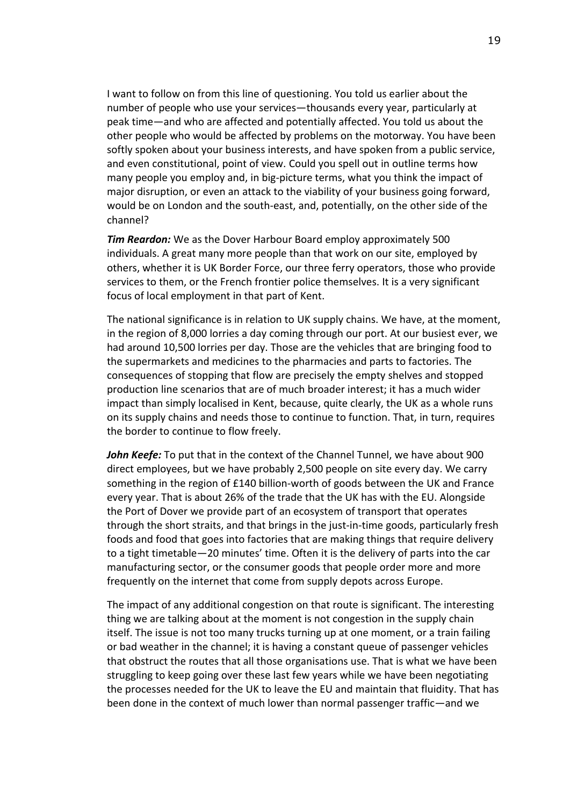I want to follow on from this line of questioning. You told us earlier about the number of people who use your services—thousands every year, particularly at peak time—and who are affected and potentially affected. You told us about the other people who would be affected by problems on the motorway. You have been softly spoken about your business interests, and have spoken from a public service, and even constitutional, point of view. Could you spell out in outline terms how many people you employ and, in big-picture terms, what you think the impact of major disruption, or even an attack to the viability of your business going forward, would be on London and the south-east, and, potentially, on the other side of the channel?

*Tim Reardon:* We as the Dover Harbour Board employ approximately 500 individuals. A great many more people than that work on our site, employed by others, whether it is UK Border Force, our three ferry operators, those who provide services to them, or the French frontier police themselves. It is a very significant focus of local employment in that part of Kent.

The national significance is in relation to UK supply chains. We have, at the moment, in the region of 8,000 lorries a day coming through our port. At our busiest ever, we had around 10,500 lorries per day. Those are the vehicles that are bringing food to the supermarkets and medicines to the pharmacies and parts to factories. The consequences of stopping that flow are precisely the empty shelves and stopped production line scenarios that are of much broader interest; it has a much wider impact than simply localised in Kent, because, quite clearly, the UK as a whole runs on its supply chains and needs those to continue to function. That, in turn, requires the border to continue to flow freely.

*John Keefe:* To put that in the context of the Channel Tunnel, we have about 900 direct employees, but we have probably 2,500 people on site every day. We carry something in the region of £140 billion-worth of goods between the UK and France every year. That is about 26% of the trade that the UK has with the EU. Alongside the Port of Dover we provide part of an ecosystem of transport that operates through the short straits, and that brings in the just-in-time goods, particularly fresh foods and food that goes into factories that are making things that require delivery to a tight timetable—20 minutes' time. Often it is the delivery of parts into the car manufacturing sector, or the consumer goods that people order more and more frequently on the internet that come from supply depots across Europe.

The impact of any additional congestion on that route is significant. The interesting thing we are talking about at the moment is not congestion in the supply chain itself. The issue is not too many trucks turning up at one moment, or a train failing or bad weather in the channel; it is having a constant queue of passenger vehicles that obstruct the routes that all those organisations use. That is what we have been struggling to keep going over these last few years while we have been negotiating the processes needed for the UK to leave the EU and maintain that fluidity. That has been done in the context of much lower than normal passenger traffic—and we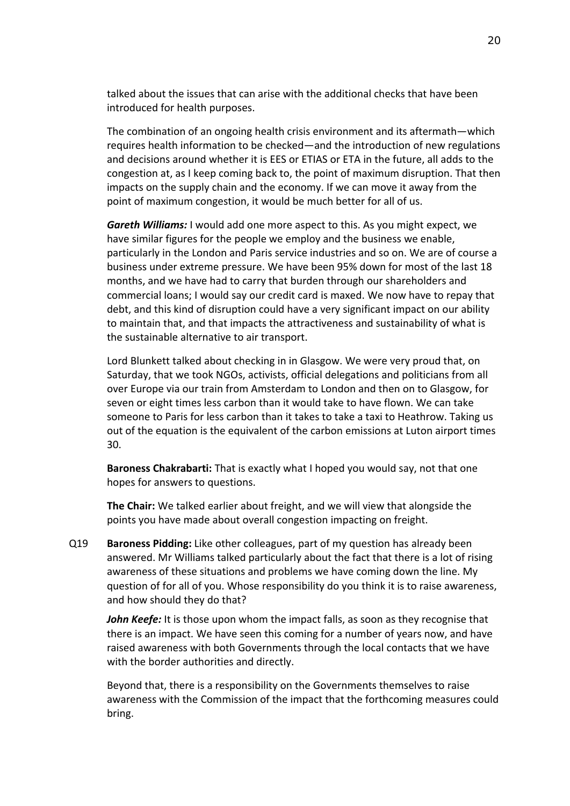talked about the issues that can arise with the additional checks that have been introduced for health purposes.

The combination of an ongoing health crisis environment and its aftermath—which requires health information to be checked—and the introduction of new regulations and decisions around whether it is EES or ETIAS or ETA in the future, all adds to the congestion at, as I keep coming back to, the point of maximum disruption. That then impacts on the supply chain and the economy. If we can move it away from the point of maximum congestion, it would be much better for all of us.

*Gareth Williams:* I would add one more aspect to this. As you might expect, we have similar figures for the people we employ and the business we enable, particularly in the London and Paris service industries and so on. We are of course a business under extreme pressure. We have been 95% down for most of the last 18 months, and we have had to carry that burden through our shareholders and commercial loans; I would say our credit card is maxed. We now have to repay that debt, and this kind of disruption could have a very significant impact on our ability to maintain that, and that impacts the attractiveness and sustainability of what is the sustainable alternative to air transport.

Lord Blunkett talked about checking in in Glasgow. We were very proud that, on Saturday, that we took NGOs, activists, official delegations and politicians from all over Europe via our train from Amsterdam to London and then on to Glasgow, for seven or eight times less carbon than it would take to have flown. We can take someone to Paris for less carbon than it takes to take a taxi to Heathrow. Taking us out of the equation is the equivalent of the carbon emissions at Luton airport times 30.

**Baroness Chakrabarti:** That is exactly what I hoped you would say, not that one hopes for answers to questions.

**The Chair:** We talked earlier about freight, and we will view that alongside the points you have made about overall congestion impacting on freight.

Q19 **Baroness Pidding:** Like other colleagues, part of my question has already been answered. Mr Williams talked particularly about the fact that there is a lot of rising awareness of these situations and problems we have coming down the line. My question of for all of you. Whose responsibility do you think it is to raise awareness, and how should they do that?

*John Keefe:* It is those upon whom the impact falls, as soon as they recognise that there is an impact. We have seen this coming for a number of years now, and have raised awareness with both Governments through the local contacts that we have with the border authorities and directly.

Beyond that, there is a responsibility on the Governments themselves to raise awareness with the Commission of the impact that the forthcoming measures could bring.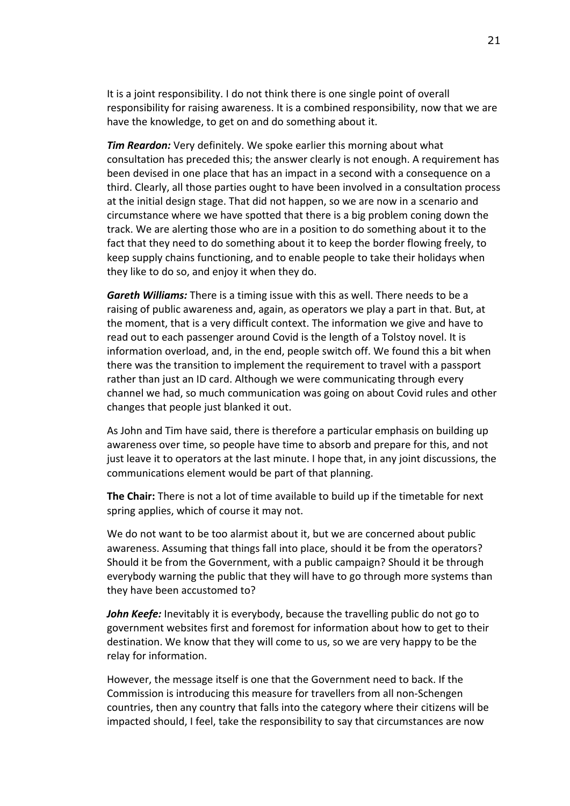It is a joint responsibility. I do not think there is one single point of overall responsibility for raising awareness. It is a combined responsibility, now that we are have the knowledge, to get on and do something about it.

*Tim Reardon:* Very definitely. We spoke earlier this morning about what consultation has preceded this; the answer clearly is not enough. A requirement has been devised in one place that has an impact in a second with a consequence on a third. Clearly, all those parties ought to have been involved in a consultation process at the initial design stage. That did not happen, so we are now in a scenario and circumstance where we have spotted that there is a big problem coning down the track. We are alerting those who are in a position to do something about it to the fact that they need to do something about it to keep the border flowing freely, to keep supply chains functioning, and to enable people to take their holidays when they like to do so, and enjoy it when they do.

*Gareth Williams:* There is a timing issue with this as well. There needs to be a raising of public awareness and, again, as operators we play a part in that. But, at the moment, that is a very difficult context. The information we give and have to read out to each passenger around Covid is the length of a Tolstoy novel. It is information overload, and, in the end, people switch off. We found this a bit when there was the transition to implement the requirement to travel with a passport rather than just an ID card. Although we were communicating through every channel we had, so much communication was going on about Covid rules and other changes that people just blanked it out.

As John and Tim have said, there is therefore a particular emphasis on building up awareness over time, so people have time to absorb and prepare for this, and not just leave it to operators at the last minute. I hope that, in any joint discussions, the communications element would be part of that planning.

**The Chair:** There is not a lot of time available to build up if the timetable for next spring applies, which of course it may not.

We do not want to be too alarmist about it, but we are concerned about public awareness. Assuming that things fall into place, should it be from the operators? Should it be from the Government, with a public campaign? Should it be through everybody warning the public that they will have to go through more systems than they have been accustomed to?

*John Keefe:* Inevitably it is everybody, because the travelling public do not go to government websites first and foremost for information about how to get to their destination. We know that they will come to us, so we are very happy to be the relay for information.

However, the message itself is one that the Government need to back. If the Commission is introducing this measure for travellers from all non-Schengen countries, then any country that falls into the category where their citizens will be impacted should, I feel, take the responsibility to say that circumstances are now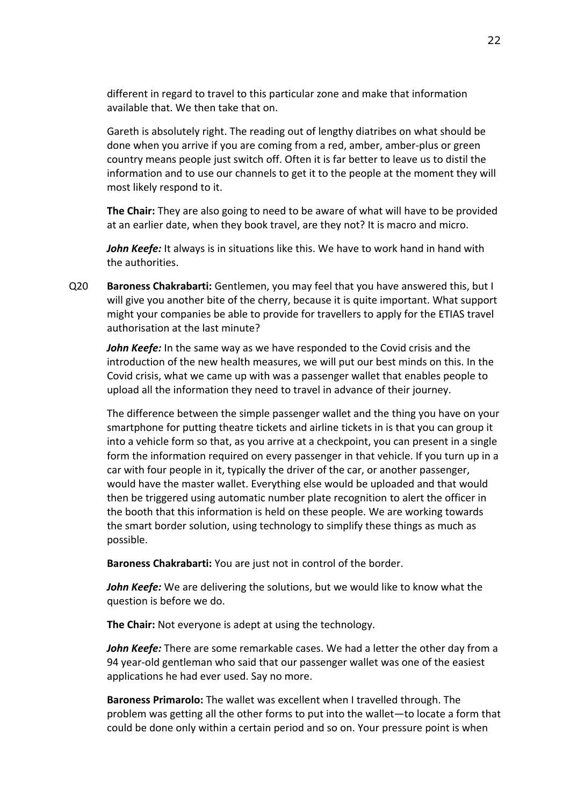different in regard to travel to this particular zone and make that information available that. We then take that on.

Gareth is absolutely right. The reading out of lengthy diatribes on what should be done when you arrive if you are coming from a red, amber, amber-plus or green country means people just switch off. Often it is far better to leave us to distil the information and to use our channels to get it to the people at the moment they will most likely respond to it.

**The Chair:** They are also going to need to be aware of what will have to be provided at an earlier date, when they book travel, are they not? It is macro and micro.

*John Keefe:* It always is in situations like this. We have to work hand in hand with the authorities.

Q20 **Baroness Chakrabarti:** Gentlemen, you may feel that you have answered this, but I will give you another bite of the cherry, because it is quite important. What support might your companies be able to provide for travellers to apply for the ETIAS travel authorisation at the last minute?

*John Keefe:* In the same way as we have responded to the Covid crisis and the introduction of the new health measures, we will put our best minds on this. In the Covid crisis, what we came up with was a passenger wallet that enables people to upload all the information they need to travel in advance of their journey.

The difference between the simple passenger wallet and the thing you have on your smartphone for putting theatre tickets and airline tickets in is that you can group it into a vehicle form so that, as you arrive at a checkpoint, you can present in a single form the information required on every passenger in that vehicle. If you turn up in a car with four people in it, typically the driver of the car, or another passenger, would have the master wallet. Everything else would be uploaded and that would then be triggered using automatic number plate recognition to alert the officer in the booth that this information is held on these people. We are working towards the smart border solution, using technology to simplify these things as much as possible.

**Baroness Chakrabarti:** You are just not in control of the border.

*John Keefe:* We are delivering the solutions, but we would like to know what the question is before we do.

**The Chair:** Not everyone is adept at using the technology.

*John Keefe:* There are some remarkable cases. We had a letter the other day from a 94 year-old gentleman who said that our passenger wallet was one of the easiest applications he had ever used. Say no more.

**Baroness Primarolo:** The wallet was excellent when I travelled through. The problem was getting all the other forms to put into the wallet—to locate a form that could be done only within a certain period and so on. Your pressure point is when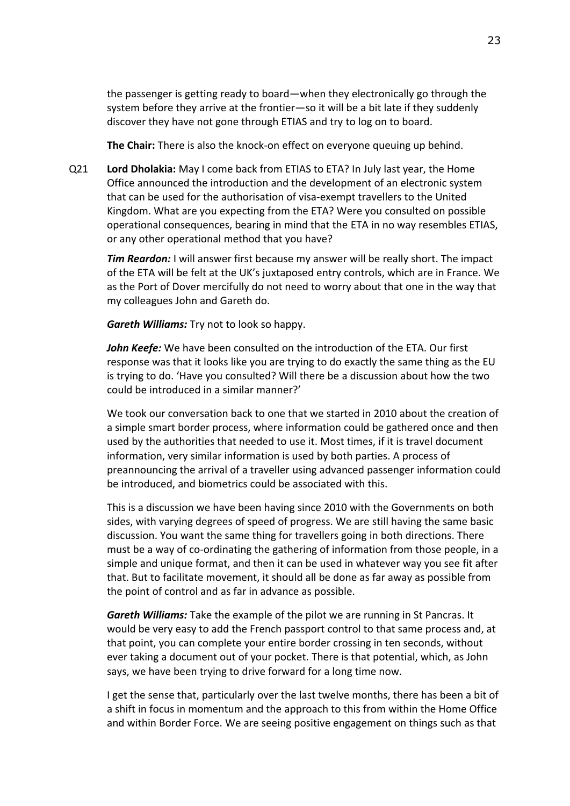the passenger is getting ready to board—when they electronically go through the system before they arrive at the frontier—so it will be a bit late if they suddenly discover they have not gone through ETIAS and try to log on to board.

**The Chair:** There is also the knock-on effect on everyone queuing up behind.

Q21 **Lord Dholakia:** May I come back from ETIAS to ETA? In July last year, the Home Office announced the introduction and the development of an electronic system that can be used for the authorisation of visa-exempt travellers to the United Kingdom. What are you expecting from the ETA? Were you consulted on possible operational consequences, bearing in mind that the ETA in no way resembles ETIAS, or any other operational method that you have?

*Tim Reardon:* I will answer first because my answer will be really short. The impact of the ETA will be felt at the UK's juxtaposed entry controls, which are in France. We as the Port of Dover mercifully do not need to worry about that one in the way that my colleagues John and Gareth do.

*Gareth Williams:* Try not to look so happy.

*John Keefe:* We have been consulted on the introduction of the ETA. Our first response was that it looks like you are trying to do exactly the same thing as the EU is trying to do. 'Have you consulted? Will there be a discussion about how the two could be introduced in a similar manner?'

We took our conversation back to one that we started in 2010 about the creation of a simple smart border process, where information could be gathered once and then used by the authorities that needed to use it. Most times, if it is travel document information, very similar information is used by both parties. A process of preannouncing the arrival of a traveller using advanced passenger information could be introduced, and biometrics could be associated with this.

This is a discussion we have been having since 2010 with the Governments on both sides, with varying degrees of speed of progress. We are still having the same basic discussion. You want the same thing for travellers going in both directions. There must be a way of co-ordinating the gathering of information from those people, in a simple and unique format, and then it can be used in whatever way you see fit after that. But to facilitate movement, it should all be done as far away as possible from the point of control and as far in advance as possible.

*Gareth Williams:* Take the example of the pilot we are running in St Pancras. It would be very easy to add the French passport control to that same process and, at that point, you can complete your entire border crossing in ten seconds, without ever taking a document out of your pocket. There is that potential, which, as John says, we have been trying to drive forward for a long time now.

I get the sense that, particularly over the last twelve months, there has been a bit of a shift in focus in momentum and the approach to this from within the Home Office and within Border Force. We are seeing positive engagement on things such as that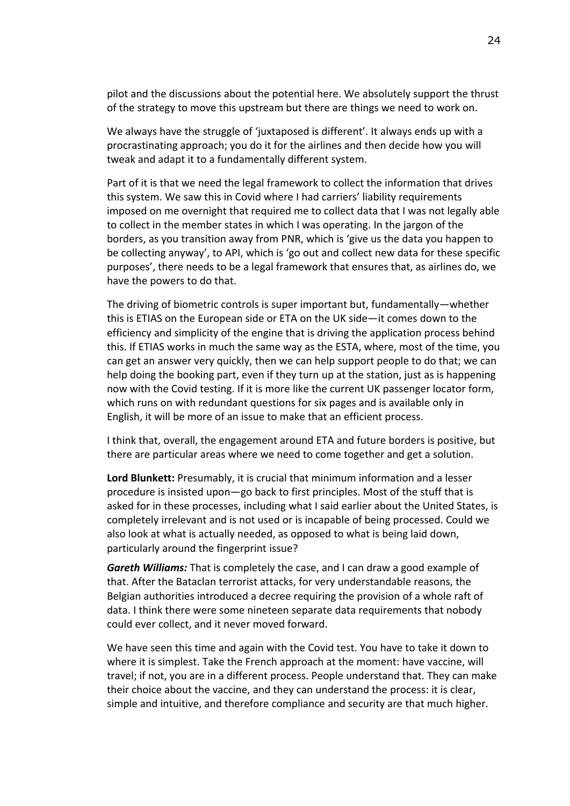pilot and the discussions about the potential here. We absolutely support the thrust of the strategy to move this upstream but there are things we need to work on.

We always have the struggle of 'juxtaposed is different'. It always ends up with a procrastinating approach; you do it for the airlines and then decide how you will tweak and adapt it to a fundamentally different system.

Part of it is that we need the legal framework to collect the information that drives this system. We saw this in Covid where I had carriers' liability requirements imposed on me overnight that required me to collect data that I was not legally able to collect in the member states in which I was operating. In the jargon of the borders, as you transition away from PNR, which is 'give us the data you happen to be collecting anyway', to API, which is 'go out and collect new data for these specific purposes', there needs to be a legal framework that ensures that, as airlines do, we have the powers to do that.

The driving of biometric controls is super important but, fundamentally—whether this is ETIAS on the European side or ETA on the UK side—it comes down to the efficiency and simplicity of the engine that is driving the application process behind this. If ETIAS works in much the same way as the ESTA, where, most of the time, you can get an answer very quickly, then we can help support people to do that; we can help doing the booking part, even if they turn up at the station, just as is happening now with the Covid testing. If it is more like the current UK passenger locator form, which runs on with redundant questions for six pages and is available only in English, it will be more of an issue to make that an efficient process.

I think that, overall, the engagement around ETA and future borders is positive, but there are particular areas where we need to come together and get a solution.

**Lord Blunkett:** Presumably, it is crucial that minimum information and a lesser procedure is insisted upon—go back to first principles. Most of the stuff that is asked for in these processes, including what I said earlier about the United States, is completely irrelevant and is not used or is incapable of being processed. Could we also look at what is actually needed, as opposed to what is being laid down, particularly around the fingerprint issue?

*Gareth Williams:* That is completely the case, and I can draw a good example of that. After the Bataclan terrorist attacks, for very understandable reasons, the Belgian authorities introduced a decree requiring the provision of a whole raft of data. I think there were some nineteen separate data requirements that nobody could ever collect, and it never moved forward.

We have seen this time and again with the Covid test. You have to take it down to where it is simplest. Take the French approach at the moment: have vaccine, will travel; if not, you are in a different process. People understand that. They can make their choice about the vaccine, and they can understand the process: it is clear, simple and intuitive, and therefore compliance and security are that much higher.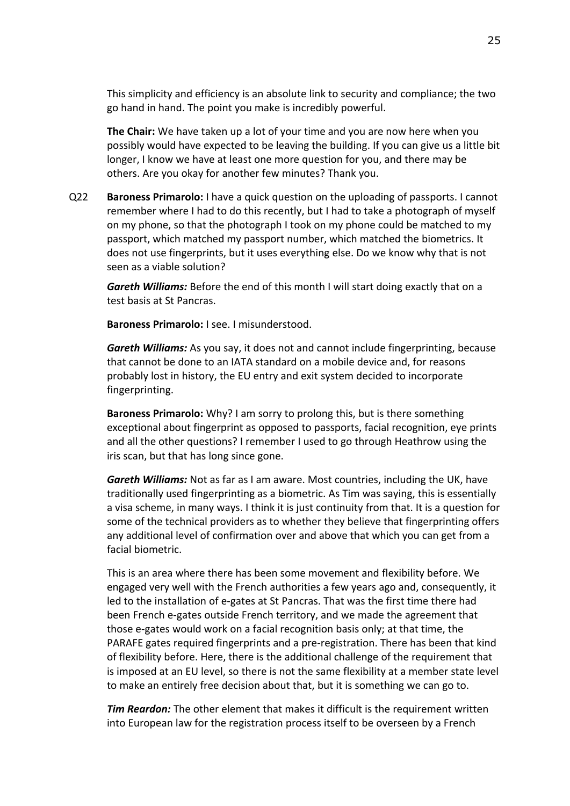This simplicity and efficiency is an absolute link to security and compliance; the two go hand in hand. The point you make is incredibly powerful.

**The Chair:** We have taken up a lot of your time and you are now here when you possibly would have expected to be leaving the building. If you can give us a little bit longer, I know we have at least one more question for you, and there may be others. Are you okay for another few minutes? Thank you.

Q22 **Baroness Primarolo:** I have a quick question on the uploading of passports. I cannot remember where I had to do this recently, but I had to take a photograph of myself on my phone, so that the photograph I took on my phone could be matched to my passport, which matched my passport number, which matched the biometrics. It does not use fingerprints, but it uses everything else. Do we know why that is not seen as a viable solution?

*Gareth Williams:* Before the end of this month I will start doing exactly that on a test basis at St Pancras.

**Baroness Primarolo:** I see. I misunderstood.

*Gareth Williams:* As you say, it does not and cannot include fingerprinting, because that cannot be done to an IATA standard on a mobile device and, for reasons probably lost in history, the EU entry and exit system decided to incorporate fingerprinting.

**Baroness Primarolo:** Why? I am sorry to prolong this, but is there something exceptional about fingerprint as opposed to passports, facial recognition, eye prints and all the other questions? I remember I used to go through Heathrow using the iris scan, but that has long since gone.

*Gareth Williams:* Not as far as I am aware. Most countries, including the UK, have traditionally used fingerprinting as a biometric. As Tim was saying, this is essentially a visa scheme, in many ways. I think it is just continuity from that. It is a question for some of the technical providers as to whether they believe that fingerprinting offers any additional level of confirmation over and above that which you can get from a facial biometric.

This is an area where there has been some movement and flexibility before. We engaged very well with the French authorities a few years ago and, consequently, it led to the installation of e-gates at St Pancras. That was the first time there had been French e-gates outside French territory, and we made the agreement that those e-gates would work on a facial recognition basis only; at that time, the PARAFE gates required fingerprints and a pre-registration. There has been that kind of flexibility before. Here, there is the additional challenge of the requirement that is imposed at an EU level, so there is not the same flexibility at a member state level to make an entirely free decision about that, but it is something we can go to.

*Tim Reardon:* The other element that makes it difficult is the requirement written into European law for the registration process itself to be overseen by a French